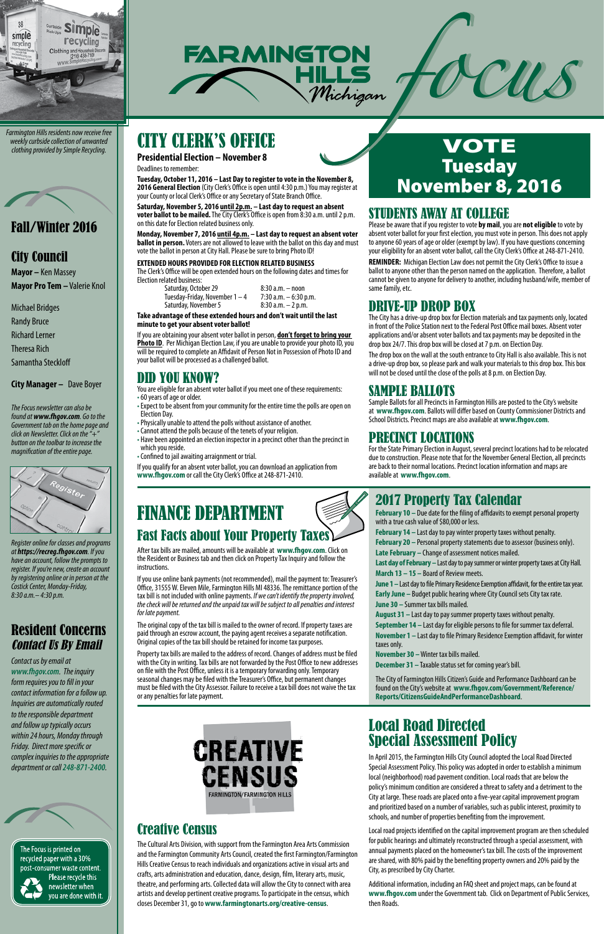## 2017 Property Tax Calendar

**February 10 –** Due date for the filing of affidavits to exempt personal property with a true cash value of \$80,000 or less.

**February 14 –** Last day to pay winter property taxes without penalty.

**February 20 –** Personal property statements due to assessor (business only). **Late February –** Change of assessment notices mailed.

**Last day of February –** Last day to pay summer or winter property taxes at City Hall. **March 13 – 15 –** Board of Review meets.

**June 1 –** Last day to file Primary Residence Exemption affidavit, for the entire tax year. **Early June –** Budget public hearing where City Council sets City tax rate. **June 30 –** Summer tax bills mailed.

**August 31 –** Last day to pay summer property taxes without penalty. **September 14 –** Last day for eligible persons to file for summer tax deferral. **November 1 –** Last day to file Primary Residence Exemption affidavit, for winter taxes only.

**November 30 –** Winter tax bills mailed.

**December 31 –** Taxable status set for coming year's bill.

The City of Farmington Hills Citizen's Guide and Performance Dashboard can be



found on the City's website at **www.fhgov.com/Government/Reference/ Reports/CitizensGuideAndPerformanceDashboard**.

## VOTE **Tuesday** November 8, 2016

CU S

### DENTS AWAY AT COLLEGE



*Farmington Hills residents now receive free weekly curbside collection of unwanted clothing provided by Simple Recycling.*



### Fall/Winter 2016

### City Council

**Mayor –** Ken Massey **Mayor Pro Tem –** Valerie Knol

Michael Bridges

Randy Bruce

Richard Lerner

Theresa Rich

Samantha Steckloff

**City Manager –** Dave Boyer



*Register online for classes and programs at https://recreg.fhgov.com. If you have an account, follow the prompts to register. If you're new, create an account by registering online or in person at the Costick Center, Monday-Friday, 8:30 a.m.– 4:30 p.m.*

## Resident Concerns Contact Us By Email

*Contact us by email at www.fhgov.com. The inquiry form requires you to fill in your* 



You are eligible for an absent voter ballot if you meet one of these requirements: • 60 years of age or older.

*contact information for a follow up. Inquiries are automatically routed to the responsible department and follow up typically occurs within 24 hours, Monday through Friday. Direct more specific or complex inquiries to the appropriate department or call 248-871-2400.*

The Focus is printed on recycled paper with a 30% post-consumer waste content. Please recycle this newsletter when you are done with it.

*The Focus newsletter can also be found at www.fhgov.com. Go to the Government tab on the home page and click on Newsletter. Click on the "+" button on the toolbar to increase the magnification of the entire page.*

# CITY CLERK'S OFFICE

**Presidential Election – November 8**

Deadlines to remember:

**Tuesday, October 11, 2016 – Last Day to register to vote in the November 8, 2016 General Election** (City Clerk's Office is open until 4:30 p.m.) You may register at your County or local Clerk's Office or any Secretary of State Branch Office.

**Saturday, November 5, 2016 until 2p.m. – Last day to request an absent voter ballot to be mailed.** The City Clerk's Office is open from 8:30 a.m. until 2 p.m. on this date for Election related business only.

**Monday, November 7, 2016 until 4p.m. – Last day to request an absent voter ballot in person.** Voters are not allowed to leave with the ballot on this day and must vote the ballot in person at City Hall. Please be sure to bring Photo ID!

#### **EXTENDED HOURS PROVIDED FOR ELECTION RELATED BUSINESS**

The Clerk's Office will be open extended hours on the following dates and times for Election related business:

Saturday, October 29 8:30 a.m. – noon<br>Tuesday-Friday, November 1 – 4 7:30 a.m. – 6:30 p.m. Tuesday-Friday, November  $1 - 4$  7:30 a.m.  $-6:30$  p.<br>Saturday, November 5 8:30 a.m.  $-2$  p.m. Saturday, November 5

**Take advantage of these extended hours and don't wait until the last minute to get your absent voter ballot!**

If you are obtaining your absent voter ballot in person, **don't forget to bring your Photo ID**. Per Michigan Election Law, if you are unable to provide your photo ID, you will be required to complete an Affidavit of Person Not in Possession of Photo ID and your ballot will be processed as a challenged ballot.

## DID YOU KNOW?

- Expect to be absent from your community for the entire time the polls are open on Election Day.
- Physically unable to attend the polls without assistance of another.
- Cannot attend the polls because of the tenets of your religion.
- Have been appointed an election inspector in a precinct other than the precinct in which you reside.
- Confined to jail awaiting arraignment or trial.

If you qualify for an absent voter ballot, you can download an application from **www.fhgov.com** or call the City Clerk's Office at 248-871-2410.

Please be aware that if you register to vote **by mail**, you are **not eligible** to vote by absent voter ballot for your first election, you must vote in person. This does not apply to anyone 60 years of age or older (exempt by law). If you have questions concerning your eligibility for an absent voter ballot, call the City Clerk's Office at 248-871-2410.

**REMINDER:** Michigan Election Law does not permit the City Clerk's Office to issue a ballot to anyone other than the person named on the application. Therefore, a ballot cannot be given to anyone for delivery to another, including husband/wife, member of same family, etc.

### DRIVE-UP DROP BOX

The City has a drive-up drop box for Election materials and tax payments only, located in front of the Police Station next to the Federal Post Office mail boxes. Absent voter applications and/or absent voter ballots and tax payments may be deposited in the drop box 24/7. This drop box will be closed at 7 p.m. on Election Day.

The drop box on the wall at the south entrance to City Hall is also available. This is not a drive-up drop box, so please park and walk your materials to this drop box. This box will not be closed until the close of the polls at 8 p.m. on Election Day.

## SAMPLE BALLOTS

Sample Ballots for all Precincts in Farmington Hills are posted to the City's website at **www.fhgov.com**. Ballots will differ based on County Commissioner Districts and School Districts. Precinct maps are also available at **www.fhgov.com**.

### PRECINCT LOCATIONS

For the State Primary Election in August, several precinct locations had to be relocated due to construction. Please note that for the November General Election, all precincts are back to their normal locations. Precinct location information and maps are available at **www.fhgov.com**.

## FINANCE DEPARTMENT Fast Facts about Your Property Taxes

After tax bills are mailed, amounts will be available at **www.fhgov.com**. Click on the Resident or Business tab and then click on Property Tax Inquiry and follow the instructions.

If you use online bank payments (not recommended), mail the payment to: Treasurer's Office, 31555 W. Eleven Mile, Farmington Hills MI 48336. The remittance portion of the tax bill is not included with online payments. *If we can't identify the property involved, the check will be returned and the unpaid tax will be subject to all penalties and interest for late payment.*

The original copy of the tax bill is mailed to the owner of record. If property taxes are paid through an escrow account, the paying agent receives a separate notification. Original copies of the tax bill should be retained for income tax purposes.

Property tax bills are mailed to the address of record. Changes of address must be filed with the City in writing. Tax bills are not forwarded by the Post Office to new addresses on file with the Post Office, unless it is a temporary forwarding only. Temporary seasonal changes may be filed with the Treasurer's Office, but permanent changes must be filed with the City Assessor. Failure to receive a tax bill does not waive the tax or any penalties for late payment.

### Local Road Directed Special Assessment Policy

In April 2015, the Farmington Hills City Council adopted the Local Road Directed Special Assessment Policy. This policy was adopted in order to establish a minimum local (neighborhood) road pavement condition. Local roads that are below the policy's minimum condition are considered a threat to safety and a detriment to the City at large. These roads are placed onto a five-year capital improvement program and prioritized based on a number of variables, such as public interest, proximity to schools, and number of properties benefiting from the improvement.

Local road projects identified on the capital improvement program are then scheduled for public hearings and ultimately reconstructed through a special assessment, with annual payments placed on the homeowner's tax bill. The costs of the improvement are shared, with 80% paid by the benefiting property owners and 20% paid by the City, as prescribed by City Charter.

Additional information, including an FAQ sheet and project maps, can be found at **www.fhgov.com** under the Government tab. Click on Department of Public Services, then Roads.

## Creative Census

The Cultural Arts Division, with support from the Farmington Area Arts Commission and the Farmington Community Arts Council, created the first Farmington/Farmington Hills Creative Census to reach individuals and organizations active in visual arts and crafts, arts administration and education, dance, design, film, literary arts, music, theatre, and performing arts. Collected data will allow the City to connect with area artists and develop pertinent creative programs. To participate in the census, which closes December 31, go to **www.farmingtonarts.org/creative-census**.

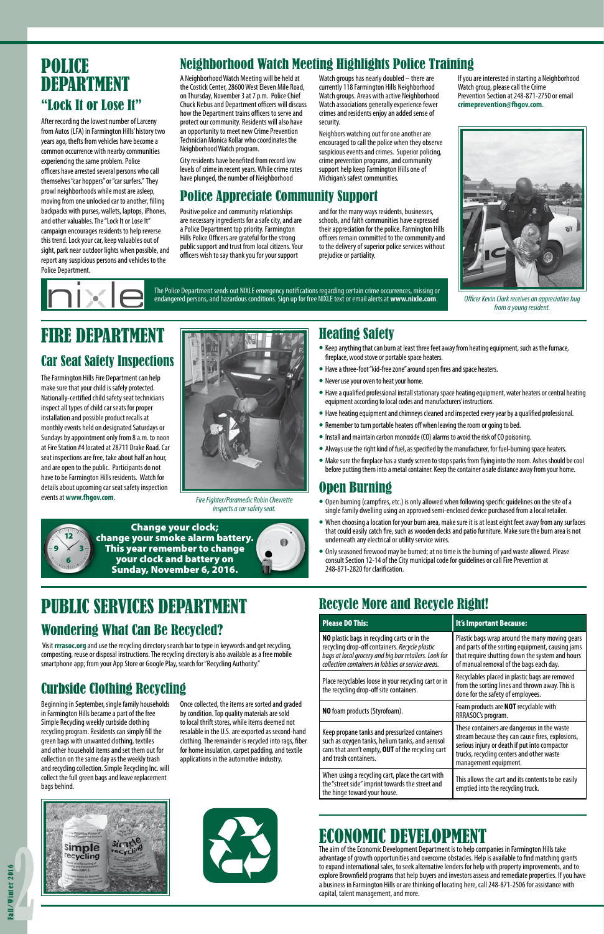## Heating Safety

- Keep anything that can burn at least three feet away from heating equipment, such as the furnace, fireplace, wood stove or portable space heaters.
- Have a three-foot "kid-free zone" around open fires and space heaters.
- Never use your oven to heat your home.
- Have a qualified professional install stationary space heating equipment, water heaters or central heating equipment according to local codes and manufacturers' instructions.
- Have heating equipment and chimneys cleaned and inspected every year by a qualified professional.
- Remember to turn portable heaters off when leaving the room or going to bed.
- Install and maintain carbon monoxide (CO) alarms to avoid the risk of CO poisoning.
- Always use the right kind of fuel, as specified by the manufacturer, for fuel-burning space heaters.
- Make sure the fireplace has a sturdy screen to stop sparks from flying into the room. Ashes should be cool before putting them into a metal container. Keep the container a safe distance away from your home.

### Open Burning

- Open burning (campfires, etc.) is only allowed when following specific guidelines on the site of a single family dwelling using an approved semi-enclosed device purchased from a local retailer.
- When choosing a location for your burn area, make sure it is at least eight feet away from any surfaces that could easily catch fire, such as wooden decks and patio furniture. Make sure the burn area is not underneath any electrical or utility service wires.
- Only seasoned firewood may be burned; at no time is the burning of yard waste allowed. Please consult Section 12-14 of the City municipal code for guidelines or call Fire Prevention at 248-871-2820 for clarification.

The Farmington Hills Fire Department can help make sure that your child is safely protected. Nationally-certified child safety seat technicians inspect all types of child car seats for proper installation and possible product recalls at monthly events held on designated Saturdays or Sundays by appointment only from 8 a.m. to noon at Fire Station #4 located at 28711 Drake Road. Car seat inspections are free, take about half an hour, and are open to the public. Participants do not have to be Farmington Hills residents. Watch for details about upcoming car seat safety inspection events at **www.fhgov.com**. *Fire Fighter/Paramedic Robin Chevrette* 



*inspects a car safety seat.*

## FIRE DEPARTMENT

## POLICE DEPARTMENT "Lock It or Lose It"

## PUBLIC SERVICES DEPARTMENT Wondering What Can Be Recycled?

After recording the lowest number of Larceny from Autos (LFA) in Farmington Hills' history two years ago, thefts from vehicles have become a common occurrence with nearby communities experiencing the same problem. Police officers have arrested several persons who call themselves "car hoppers" or "car surfers." They prowl neighborhoods while most are asleep, moving from one unlocked car to another, filling backpacks with purses, wallets, laptops, iPhones, and other valuables. The "Lock It or Lose It" campaign encourages residents to help reverse this trend. Lock your car, keep valuables out of sight, park near outdoor lights when possible, and report any suspicious persons and vehicles to the Police Department.

## Neighborhood Watch Meeting Highlights Police Training

A Neighborhood Watch Meeting will be held at the Costick Center, 28600 West Eleven Mile Road, on Thursday, November 3 at 7 p.m. Police Chief Chuck Nebus and Department officers will discuss how the Department trains officers to serve and protect our community. Residents will also have an opportunity to meet new Crime Prevention Technician Monica Kollar who coordinates the Neighborhood Watch program.

City residents have benefited from record low levels of crime in recent years. While crime rates have plunged, the number of Neighborhood

Watch groups has nearly doubled – there are currently 118 Farmington Hills Neighborhood Watch groups. Areas with active Neighborhood Watch associations generally experience fewer crimes and residents enjoy an added sense of security.

Neighbors watching out for one another are encouraged to call the police when they observe suspicious events and crimes. Superior policing, crime prevention programs, and community support help keep Farmington Hills one of Michigan's safest communities.

If you are interested in starting a Neighborhood Watch group, please call the Crime Prevention Section at 248-871-2750 or email **crimeprevention@fhgov.com**.



### Police Appreciate Community Support

Positive police and community relationships are necessary ingredients for a safe city, and are a Police Department top priority. Farmington Hills Police Officers are grateful for the strong public support and trust from local citizens. Your officers wish to say thank you for your support

and for the many ways residents, businesses, schools, and faith communities have expressed their appreciation for the police. Farmington Hills officers remain committed to the community and to the delivery of superior police services without prejudice or partiality.

The Police Department sends out NIXLE emergency notifications regarding certain crime occurrences, missing or endangered persons, and hazardous conditions. Sign up for free NIXLE text or email alerts at **www.nixle.com**.

## Car Seat Safety Inspections



Visit **rrrasoc.org** and use the recycling directory search bar to type in keywords and get recycling, composting, reuse or disposal instructions. The recycling directory is also available as a free mobile smartphone app; from your App Store or Google Play, search for "Recycling Authority."

## Curbside Clothing Recycling

Beginning in September, single family households in Farmington Hills became a part of the free Simple Recycling weekly curbside clothing recycling program. Residents can simply fill the green bags with unwanted clothing, textiles and other household items and set them out for collection on the same day as the weekly trash and recycling collection. Simple Recycling Inc. will collect the full green bags and leave replacement bags behind.

Once collected, the items are sorted and graded by condition. Top quality materials are sold to local thrift stores, while items deemed not resalable in the U.S. are exported as second-hand clothing. The remainder is recycled into rags, fiber for home insulation, carpet padding, and textile applications in the automotive industry.





## ECONOMIC DEVELO

## Recycle More and Recycle Right!

| <b>Please DO This:</b>                                                                                                                                                                                        | <b>It's Important Because:</b>                                                                                                                                                                                         |  |
|---------------------------------------------------------------------------------------------------------------------------------------------------------------------------------------------------------------|------------------------------------------------------------------------------------------------------------------------------------------------------------------------------------------------------------------------|--|
| NO plastic bags in recycling carts or in the<br>recycling drop-off containers. Recycle plastic<br>bags at local grocery and big box retailers. Look for<br>collection containers in lobbies or service areas. | Plastic bags wrap around the many moving gears<br>and parts of the sorting equipment, causing jams<br>that require shutting down the system and hours<br>of manual removal of the bags each day.                       |  |
| Place recyclables loose in your recycling cart or in<br>the recycling drop-off site containers.                                                                                                               | Recyclables placed in plastic bags are removed<br>from the sorting lines and thrown away. This is<br>done for the safety of employees.                                                                                 |  |
| NO foam products (Styrofoam).                                                                                                                                                                                 | Foam products are <b>NOT</b> recyclable with<br>RRRASOC's program.                                                                                                                                                     |  |
| Keep propane tanks and pressurized containers<br>such as oxygen tanks, helium tanks, and aerosol<br>cans that aren't empty, OUT of the recycling cart<br>and trash containers.                                | These containers are dangerous in the waste<br>stream because they can cause fires, explosions,<br>serious injury or death if put into compactor<br>trucks, recycling centers and other waste<br>management equipment. |  |
| When using a recycling cart, place the cart with<br>the "street side" imprint towards the street and<br>the hinge toward your house.                                                                          | This allows the cart and its contents to be easily<br>emptied into the recycling truck.                                                                                                                                |  |

*Officer Kevin Clark receives an appreciative hug from a young resident.*

The aim of the Economic Development Department is to help companies in Farmington Hills take advantage of growth opportunities and overcome obstacles. Help is available to find matching grants to expand international sales, to seek alternative lenders for help with property improvements, and to explore Brownfield programs that help buyers and investors assess and remediate properties. If you have a business in Farmington Hills or are thinking of locating here, call 248-871-2506 for assistance with capital, talent management, and more.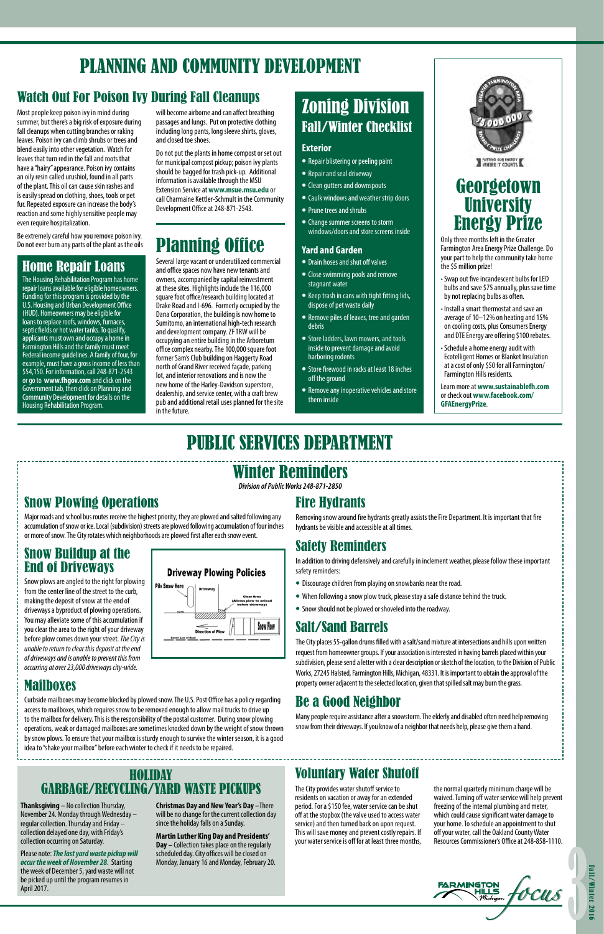## Winter Reminders

*Division of Public Works 248-871-2850*

## Snow Plowing Operations

Major roads and school bus routes receive the highest priority; they are plowed and salted following any accumulation of snow or ice. Local (subdivision) streets are plowed following accumulation of four inches or more of snow. The City rotates which neighborhoods are plowed first after each snow event.

### Snow Buildup at the End of Driveways

Snow plows are angled to the right for plowing from the center line of the street to the curb, making the deposit of snow at the end of driveways a byproduct of plowing operations. You may alleviate some of this accumulation if you clear the area to the right of your driveway before plow comes down your street. *The City is unable to return to clear this deposit at the end of driveways and is unable to prevent this from occurring at over 23,000 driveways city-wide.*



### Mailboxes

Curbside mailboxes may become blocked by plowed snow. The U.S. Post Office has a policy regarding access to mailboxes, which requires snow to be removed enough to allow mail trucks to drive up to the mailbox for delivery. This is the responsibility of the postal customer. During snow plowing operations, weak or damaged mailboxes are sometimes knocked down by the weight of snow thrown by snow plows. To ensure that your mailbox is sturdy enough to survive the winter season, it is a good idea to "shake your mailbox" before each winter to check if it needs to be repaired.

## Fire Hydrants

Removing snow around fire hydrants greatly assists the Fire Department. It is important that fire hydrants be visible and accessible at all times.

## Safety Reminders

In addition to driving defensively and carefully in inclement weather, please follow these important safety reminders:

- Discourage children from playing on snowbanks near the road.
- When following a snow plow truck, please stay a safe distance behind the truck.
- Snow should not be plowed or shoveled into the roadway.

## Salt/Sand Barrels

The City places 55-gallon drums filled with a salt/sand mixture at intersections and hills upon written request from homeowner groups. If your association is interested in having barrels placed within your subdivision, please send a letter with a clear description or sketch of the location, to the Division of Public Works, 27245 Halsted, Farmington Hills, Michigan, 48331. It is important to obtain the approval of the property owner adjacent to the selected location, given that spilled salt may burn the grass.

## Be a Good Neighbor

Many people require assistance after a snowstorm. The elderly and disabled often need help removing snow from their driveways. If you know of a neighbor that needs help, please give them a hand.

## PLANNING AND COMMUNITY DEVELOPMENT

## Home Repair Loans

The Housing Rehabilitation Program has home repair loans available for eligible homeowners. Funding for this program is provided by the U.S. Housing and Urban Development Office (HUD). Homeowners may be eligible for loans to replace roofs, windows, furnaces, septic fields or hot water tanks. To qualify, applicants must own and occupy a home in Farmington Hills and the family must meet Federal income guidelines. A family of four, for example, must have a gross income of less than \$54,150. For information, call 248-871-2543 or go to **www.fhgov.com** and click on the Government tab, then click on Planning and Community Development for details on the Housing Rehabilitation Program.

## PUBLIC SERVICES DEPARTMENT

### HOLIDAY GARBAGE/RECYCLING/YARD WASTE PICKUPS

**Thanksgiving –** No collection Thursday, November 24. Monday through Wednesday – regular collection. Thursday and Friday – collection delayed one day, with Friday's collection occurring on Saturday.

Please note: *The last yard waste pickup will occur the week of November 28*. Starting the week of December 5, yard waste will not be picked up until the program resumes in April 2017.

## **Georgetown University** Energy Prize

**Christmas Day and New Year's Day –**There will be no change for the current collection day since the holiday falls on a Sunday.

**Martin Luther King Day and Presidents' Day –** Collection takes place on the regularly scheduled day. City offices will be closed on Monday, January 16 and Monday, February 20.

## Watch Out For Poison Ivy During Fall Cleanups

Most people keep poison ivy in mind during summer, but there's a big risk of exposure during fall cleanups when cutting branches or raking leaves. Poison ivy can climb shrubs or trees and blend easily into other vegetation. Watch for leaves that turn red in the fall and roots that have a "hairy" appearance. Poison ivy contains an oily resin called urushiol, found in all parts of the plant. This oil can cause skin rashes and is easily spread on clothing, shoes, tools or pet fur. Repeated exposure can increase the body's reaction and some highly sensitive people may even require hospitalization.

Be extremely careful how you remove poison ivy. Do not ever burn any parts of the plant as the oils

will become airborne and can affect breathing passages and lungs. Put on protective clothing including long pants, long sleeve shirts, gloves, and closed toe shoes.

Do not put the plants in home compost or set out for municipal compost pickup; poison ivy plants should be bagged for trash pick-up. Additional information is available through the MSU Extension Service at **www.msue.msu.edu** or call Charmaine Kettler-Schmult in the Community Development Office at 248-871-2543.

## Zoning Division Fall/Winter Checklist

#### **Exterior**

- Repair blistering or peeling paint
- Repair and seal driveway
- Clean gutters and downspouts
- Caulk windows and weather strip doors
- Prune trees and shrubs
- Change summer screens to storm windows/doors and store screens inside

### **Yard and Garden**

- Drain hoses and shut off valves
- Close swimming pools and remove stagnant water
- Keep trash in cans with tight fitting lids, dispose of pet waste daily
- Remove piles of leaves, tree and garden debris
- Store ladders, lawn mowers, and tools inside to prevent damage and avoid harboring rodents
- Store firewood in racks at least 18 inches off the ground
- Remove any inoperative vehicles and store them inside



## Planning Office

Several large vacant or underutilized commercial and office spaces now have new tenants and owners, accompanied by capital reinvestment at these sites. Highlights include the 116,000 square foot office/research building located at Drake Road and I-696. Formerly occupied by the Dana Corporation, the building is now home to Sumitomo, an international high-tech research and development company. ZF TRW will be occupying an entire building in the Arboretum office complex nearby. The 100,000 square foot former Sam's Club building on Haggerty Road north of Grand River received façade, parking lot, and interior renovations and is now the new home of the Harley-Davidson superstore, dealership, and service center, with a craft brew pub and additional retail uses planned for the site in the future.

### Voluntary Water Shutoff

The City provides water shutoff service to residents on vacation or away for an extended period. For a \$150 fee, water service can be shut off at the stopbox (the valve used to access water service) and then turned back on upon request. This will save money and prevent costly repairs. If your water service is off for at least three months,

the normal quarterly minimum charge will be waived. Turning off water service will help prevent freezing of the internal plumbing and meter, which could cause significant water damage to your home. To schedule an appointment to shut off your water, call the Oakland County Water Resources Commissioner's Office at 248-858-1110.



Only three months left in the Greater Farmington Area Energy Prize Challenge. Do your part to help the community take home the \$5 million prize!

- Swap out five incandescent bulbs for LED bulbs and save \$75 annually, plus save time by not replacing bulbs as often.
- Install a smart thermostat and save an average of 10–12% on heating and 15% on cooling costs, plus Consumers Energy and DTE Energy are offering \$100 rebates.
- Schedule a home energy audit with Ecotelligent Homes or Blanket Insulation at a cost of only \$50 for all Farmington/ Farmington Hills residents.

Learn more at **www.sustainablefh.com** or check out **www.facebook.com/ GFAEnergyPrize**.